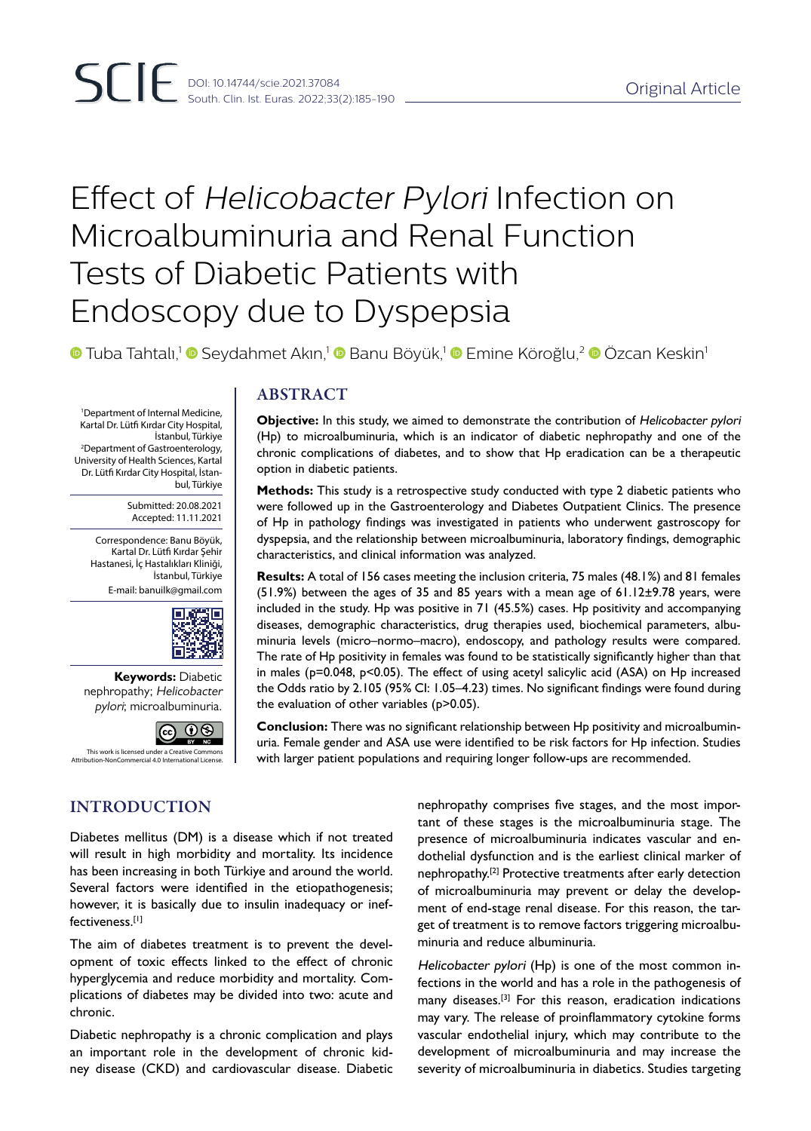# Effect of Helicobacter Pylori Infection on Microalbuminuria and Renal Function Tests of Diabetic Patients with Endoscopy due to Dyspepsia

**O** Tuba Tahtalı,<sup>1</sup> © Seydahmet Akın,<sup>1</sup> © Banu Böyük,<sup>1</sup> © Emine Köroğlu,<sup>2</sup> © Özcan Keskin<sup>1</sup>

1 Department of Internal Medicine, Kartal Dr. Lütfi Kırdar City Hospital, İstanbul, Türkiye 2 Department of Gastroenterology, University of Health Sciences, Kartal Dr. Lütfi Kırdar City Hospital, İstanbul, Türkiye

> Submitted: 20.08.2021 Accepted: 11.11.2021

Correspondence: Banu Böyük, Kartal Dr. Lütfi Kırdar Şehir Hastanesi, İç Hastalıkları Kliniği, İstanbul, Türkiye E-mail: banuilk@gmail.com



**Keywords:** Diabetic nephropathy; Helicobacter pylori; microalbuminuria.



 $After the ution-MonCommarcial  $A \cap$  In$ 

# ABSTRACT

**Objective:** In this study, we aimed to demonstrate the contribution of Helicobacter pylori (Hp) to microalbuminuria, which is an indicator of diabetic nephropathy and one of the chronic complications of diabetes, and to show that Hp eradication can be a therapeutic option in diabetic patients.

**Methods:** This study is a retrospective study conducted with type 2 diabetic patients who were followed up in the Gastroenterology and Diabetes Outpatient Clinics. The presence of Hp in pathology findings was investigated in patients who underwent gastroscopy for dyspepsia, and the relationship between microalbuminuria, laboratory findings, demographic characteristics, and clinical information was analyzed.

**Results:** A total of 156 cases meeting the inclusion criteria, 75 males (48.1%) and 81 females (51.9%) between the ages of 35 and 85 years with a mean age of 61.12±9.78 years, were included in the study. Hp was positive in 71 (45.5%) cases. Hp positivity and accompanying diseases, demographic characteristics, drug therapies used, biochemical parameters, albuminuria levels (micro–normo–macro), endoscopy, and pathology results were compared. The rate of Hp positivity in females was found to be statistically significantly higher than that in males (p=0.048, p<0.05). The effect of using acetyl salicylic acid (ASA) on Hp increased the Odds ratio by 2.105 (95% CI: 1.05–4.23) times. No significant findings were found during the evaluation of other variables (p>0.05).

**Conclusion:** There was no significant relationship between Hp positivity and microalbuminuria. Female gender and ASA use were identified to be risk factors for Hp infection. Studies with larger patient populations and requiring longer follow-ups are recommended.

# INTRODUCTION

Diabetes mellitus (DM) is a disease which if not treated will result in high morbidity and mortality. Its incidence has been increasing in both Türkiye and around the world. Several factors were identified in the etiopathogenesis; however, it is basically due to insulin inadequacy or ineffectiveness.[1]

The aim of diabetes treatment is to prevent the development of toxic effects linked to the effect of chronic hyperglycemia and reduce morbidity and mortality. Complications of diabetes may be divided into two: acute and chronic.

Diabetic nephropathy is a chronic complication and plays an important role in the development of chronic kidney disease (CKD) and cardiovascular disease. Diabetic nephropathy comprises five stages, and the most important of these stages is the microalbuminuria stage. The presence of microalbuminuria indicates vascular and endothelial dysfunction and is the earliest clinical marker of nephropathy.[2] Protective treatments after early detection of microalbuminuria may prevent or delay the development of end-stage renal disease. For this reason, the target of treatment is to remove factors triggering microalbuminuria and reduce albuminuria.

Helicobacter pylori (Hp) is one of the most common infections in the world and has a role in the pathogenesis of many diseases.[3] For this reason, eradication indications may vary. The release of proinflammatory cytokine forms vascular endothelial injury, which may contribute to the development of microalbuminuria and may increase the severity of microalbuminuria in diabetics. Studies targeting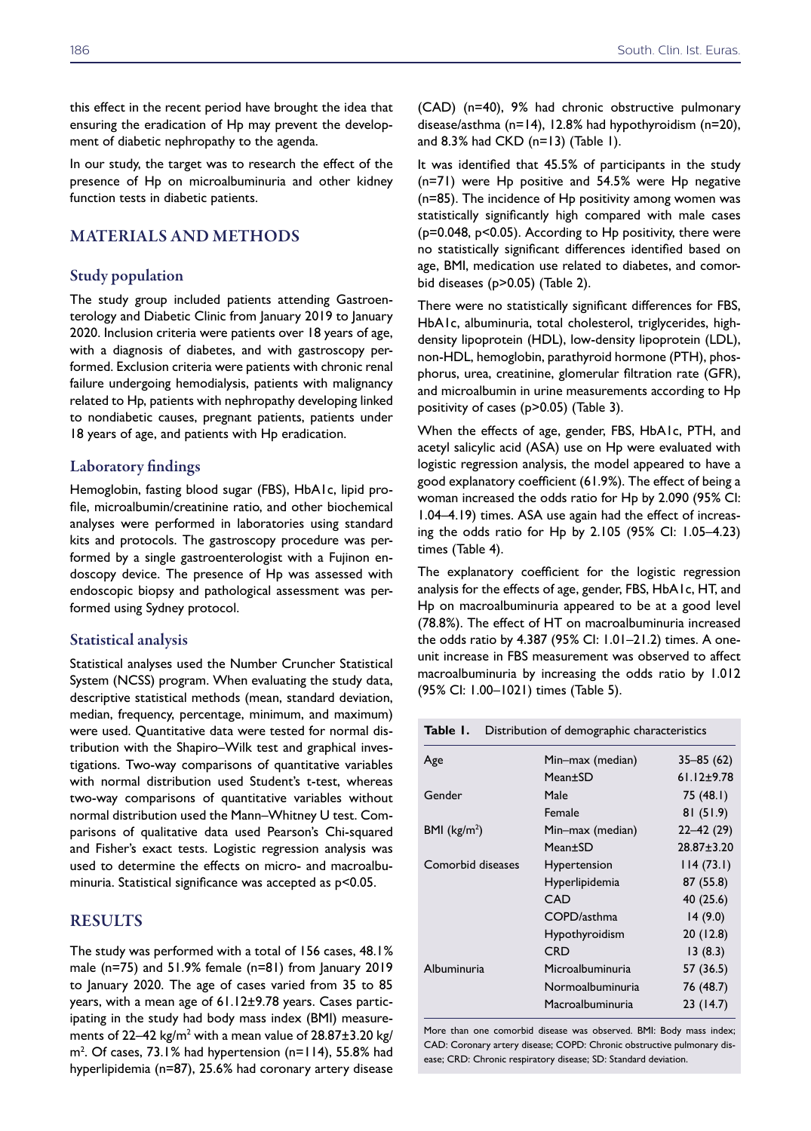this effect in the recent period have brought the idea that ensuring the eradication of Hp may prevent the development of diabetic nephropathy to the agenda.

In our study, the target was to research the effect of the presence of Hp on microalbuminuria and other kidney function tests in diabetic patients.

# MATERIALS AND METHODS

# Study population

The study group included patients attending Gastroenterology and Diabetic Clinic from January 2019 to January 2020. Inclusion criteria were patients over 18 years of age, with a diagnosis of diabetes, and with gastroscopy performed. Exclusion criteria were patients with chronic renal failure undergoing hemodialysis, patients with malignancy related to Hp, patients with nephropathy developing linked to nondiabetic causes, pregnant patients, patients under 18 years of age, and patients with Hp eradication.

# Laboratory findings

Hemoglobin, fasting blood sugar (FBS), HbA1c, lipid profile, microalbumin/creatinine ratio, and other biochemical analyses were performed in laboratories using standard kits and protocols. The gastroscopy procedure was performed by a single gastroenterologist with a Fujinon endoscopy device. The presence of Hp was assessed with endoscopic biopsy and pathological assessment was performed using Sydney protocol.

## Statistical analysis

Statistical analyses used the Number Cruncher Statistical System (NCSS) program. When evaluating the study data, descriptive statistical methods (mean, standard deviation, median, frequency, percentage, minimum, and maximum) were used. Quantitative data were tested for normal distribution with the Shapiro–Wilk test and graphical investigations. Two-way comparisons of quantitative variables with normal distribution used Student's t-test, whereas two-way comparisons of quantitative variables without normal distribution used the Mann–Whitney U test. Comparisons of qualitative data used Pearson's Chi-squared and Fisher's exact tests. Logistic regression analysis was used to determine the effects on micro- and macroalbuminuria. Statistical significance was accepted as p<0.05.

# **RESULTS**

The study was performed with a total of 156 cases, 48.1% male (n=75) and 51.9% female (n=81) from January 2019 to January 2020. The age of cases varied from 35 to 85 years, with a mean age of 61.12±9.78 years. Cases participating in the study had body mass index (BMI) measurements of 22–42 kg/m $^2$  with a mean value of 28.87 $\pm$ 3.20 kg/ m2 . Of cases, 73.1% had hypertension (n=114), 55.8% had hyperlipidemia (n=87), 25.6% had coronary artery disease

(CAD) (n=40), 9% had chronic obstructive pulmonary disease/asthma (n=14), 12.8% had hypothyroidism (n=20), and 8.3% had CKD (n=13) (Table 1).

It was identified that 45.5% of participants in the study (n=71) were Hp positive and 54.5% were Hp negative (n=85). The incidence of Hp positivity among women was statistically significantly high compared with male cases (p=0.048, p<0.05). According to Hp positivity, there were no statistically significant differences identified based on age, BMI, medication use related to diabetes, and comorbid diseases (p>0.05) (Table 2).

There were no statistically significant differences for FBS, HbA1c, albuminuria, total cholesterol, triglycerides, highdensity lipoprotein (HDL), low-density lipoprotein (LDL), non-HDL, hemoglobin, parathyroid hormone (PTH), phosphorus, urea, creatinine, glomerular filtration rate (GFR), and microalbumin in urine measurements according to Hp positivity of cases (p>0.05) (Table 3).

When the effects of age, gender, FBS, HbA1c, PTH, and acetyl salicylic acid (ASA) use on Hp were evaluated with logistic regression analysis, the model appeared to have a good explanatory coefficient (61.9%). The effect of being a woman increased the odds ratio for Hp by 2.090 (95% CI: 1.04–4.19) times. ASA use again had the effect of increasing the odds ratio for Hp by 2.105 (95% CI: 1.05–4.23) times (Table 4).

The explanatory coefficient for the logistic regression analysis for the effects of age, gender, FBS, HbA1c, HT, and Hp on macroalbuminuria appeared to be at a good level (78.8%). The effect of HT on macroalbuminuria increased the odds ratio by 4.387 (95% CI: 1.01–21.2) times. A oneunit increase in FBS measurement was observed to affect macroalbuminuria by increasing the odds ratio by 1.012 (95% CI: 1.00–1021) times (Table 5).

**Table 1.** Distribution of demographic characteristics

| Age                      | Min-max (median) | $35 - 85(62)$    |
|--------------------------|------------------|------------------|
|                          | Mean±SD          | $61.12 \pm 9.78$ |
| Gender                   | Male             | 75 (48.1)        |
|                          | Female           | 81(51.9)         |
| BMI (kg/m <sup>2</sup> ) | Min-max (median) | $22 - 42(29)$    |
|                          | $Mean+SD$        | $28.87 \pm 3.20$ |
| Comorbid diseases        | Hypertension     | 114(73.1)        |
|                          | Hyperlipidemia   | 87 (55.8)        |
|                          | CAD              | 40 (25.6)        |
|                          | COPD/asthma      | 14(9.0)          |
|                          | Hypothyroidism   | 20(12.8)         |
|                          | CRD              | 13(8.3)          |
| Albuminuria              | Microalbuminuria | 57 (36.5)        |
|                          | Normoalbuminuria | 76 (48.7)        |
|                          | Macroalbuminuria | 23(14.7)         |
|                          |                  |                  |

More than one comorbid disease was observed. BMI: Body mass index; CAD: Coronary artery disease; COPD: Chronic obstructive pulmonary disease; CRD: Chronic respiratory disease; SD: Standard deviation.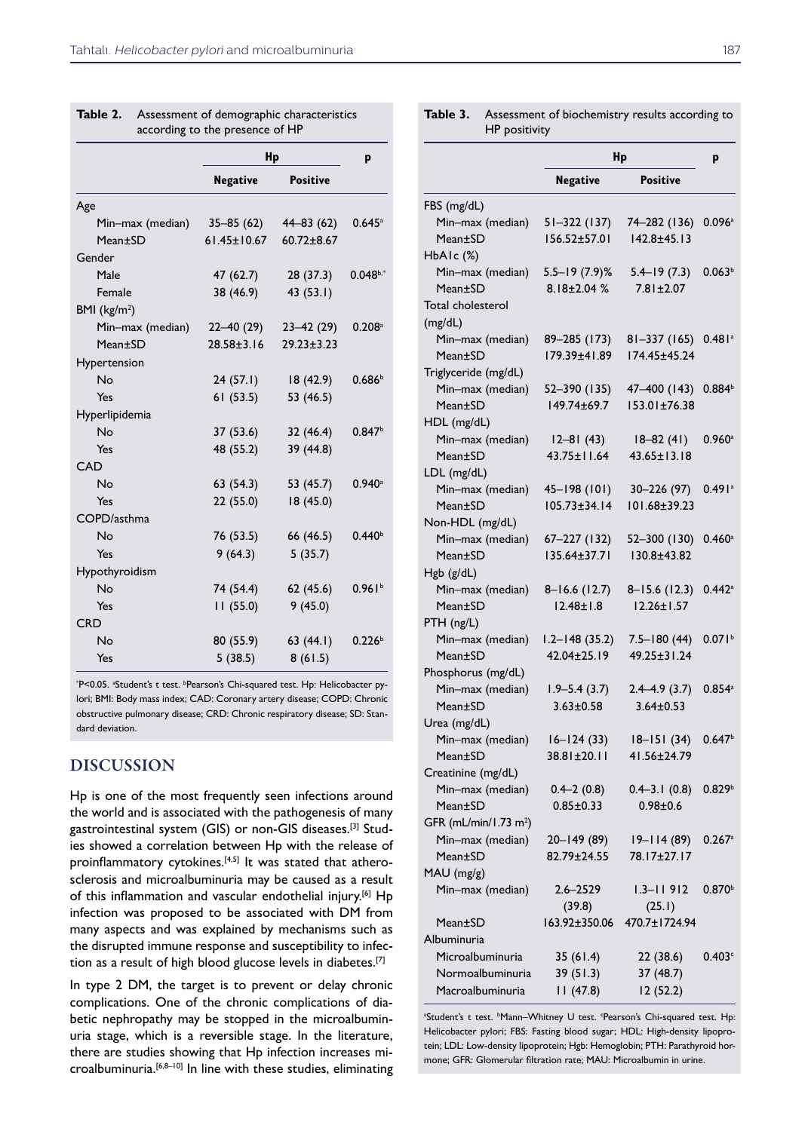| according to the presence of Fir |                   |                  |                      |  |
|----------------------------------|-------------------|------------------|----------------------|--|
|                                  | Hp                |                  | p                    |  |
|                                  | <b>Negative</b>   | <b>Positive</b>  |                      |  |
| Age                              |                   |                  |                      |  |
| Min-max (median)                 | $35 - 85(62)$     | $44 - 83(62)$    | $0.645^{\circ}$      |  |
| Mean±SD                          | $61.45 \pm 10.67$ | $60.72 + 8.67$   |                      |  |
| Gender                           |                   |                  |                      |  |
| Male                             | 47 (62.7)         | 28(37.3)         | $0.048^{b,*}$        |  |
| Female                           | 38 (46.9)         | 43 (53.1)        |                      |  |
| BMI $(kg/m2)$                    |                   |                  |                      |  |
| Min-max (median)                 | $22 - 40(29)$     | $23 - 42(29)$    | $0.208$ <sup>a</sup> |  |
| Mean±SD                          | $28.58 \pm 3.16$  | $29.23 \pm 3.23$ |                      |  |
| Hypertension                     |                   |                  |                      |  |
| No                               | 24(57.1)          | 18(42.9)         | 0.686 <sup>b</sup>   |  |
| Yes                              | 61(53.5)          | 53 (46.5)        |                      |  |
| Hyperlipidemia                   |                   |                  |                      |  |
| <b>No</b>                        | 37(53.6)          | 32(46.4)         | 0.847 <sup>b</sup>   |  |
| Yes                              | 48 (55.2)         | 39 (44.8)        |                      |  |
| <b>CAD</b>                       |                   |                  |                      |  |
| No                               | 63(54.3)          | 53 (45.7)        | $0.940^{\circ}$      |  |
| Yes                              | 22(55.0)          | 18 (45.0)        |                      |  |
| COPD/asthma                      |                   |                  |                      |  |
| No                               | 76 (53.5)         | 66 (46.5)        | 0.440 <sup>b</sup>   |  |
| Yes                              | 9(64.3)           | 5(35.7)          |                      |  |
| Hypothyroidism                   |                   |                  |                      |  |
| No                               | 74 (54.4)         | 62 (45.6)        | 0.961 <sup>b</sup>   |  |
| Yes                              | 11(55.0)          | 9(45.0)          |                      |  |
| <b>CRD</b>                       |                   |                  |                      |  |
| No                               | 80 (55.9)         | 63(44.1)         | 0.226 <sup>b</sup>   |  |
| Yes                              | 5(38.5)           | 8(61.5)          |                      |  |
|                                  |                   |                  |                      |  |

| <b>Table 2.</b> Assessment of demographic characteristics |
|-----------------------------------------------------------|
| according to the presence of HP                           |

\*P<0.05. \*Student's t test. \*Pearson's Chi-squared test. Hp: Helicobacter pylori; BMI: Body mass index; CAD: Coronary artery disease; COPD: Chronic obstructive pulmonary disease; CRD: Chronic respiratory disease; SD: Standard deviation.

## DISCUSSION

Hp is one of the most frequently seen infections around the world and is associated with the pathogenesis of many gastrointestinal system (GIS) or non-GIS diseases.<sup>[3]</sup> Studies showed a correlation between Hp with the release of proinflammatory cytokines.<sup>[4,5]</sup> It was stated that atherosclerosis and microalbuminuria may be caused as a result of this inflammation and vascular endothelial injury.<sup>[6]</sup> Hp infection was proposed to be associated with DM from many aspects and was explained by mechanisms such as the disrupted immune response and susceptibility to infection as a result of high blood glucose levels in diabetes.<sup>[7]</sup>

In type 2 DM, the target is to prevent or delay chronic complications. One of the chronic complications of diabetic nephropathy may be stopped in the microalbuminuria stage, which is a reversible stage. In the literature, there are studies showing that Hp infection increases microalbuminuria.<sup>[6,8-10]</sup> In line with these studies, eliminating

**Table 3.** Assessment of biochemistry results according to HP positivity

|                                   | Hp                                   |                                      | p                    |
|-----------------------------------|--------------------------------------|--------------------------------------|----------------------|
|                                   | <b>Negative</b>                      | <b>Positive</b>                      |                      |
| FBS (mg/dL)                       |                                      |                                      |                      |
| Min-max (median)                  | $51 - 322(137)$                      | 74-282 (136)                         | 0.096a               |
| Mean±SD                           | $156.52 \pm 57.01$                   | $142.8 + 45.13$                      |                      |
| HbAIc(%)                          |                                      |                                      |                      |
| Min-max (median)                  | $5.5 - 19(7.9)$ %                    | $5.4 - 19(7.3)$                      | 0.063 <sup>b</sup>   |
| Mean+SD                           | $8.18 \pm 2.04$ %                    | $7.81 \pm 2.07$                      |                      |
| Total cholesterol                 |                                      |                                      |                      |
| (mg/dL)                           |                                      |                                      |                      |
| Min-max (median)                  | 89-285 (173)                         | 81-337 (165)                         | $0.481$ <sup>a</sup> |
| Mean±SD                           | 179.39±41.89                         | 174.45±45.24                         |                      |
| Triglyceride (mg/dL)              |                                      |                                      |                      |
| Min-max (median)                  | 52-390 (135)                         | 47-400 (143)                         | 0.884 <sup>b</sup>   |
| Mean±SD                           | $149.74 \pm 69.7$                    | $153.01 \pm 76.38$                   |                      |
| HDL (mg/dL)                       |                                      |                                      |                      |
| Min-max (median)                  | $12 - 81(43)$                        | $18 - 82(41)$                        | $0.960$ <sup>a</sup> |
| Mean±SD                           | 43.75±11.64                          | $43.65 \pm 13.18$                    |                      |
| LDL (mg/dL)                       |                                      |                                      |                      |
| Min-max (median)                  | 45-198 (101)                         | $30 - 226(97)$                       | $0.491$ <sup>a</sup> |
| Mean±SD                           | $105.73 \pm 34.14$                   | 101.68±39.23                         |                      |
| Non-HDL (mg/dL)                   |                                      |                                      |                      |
| Min-max (median)                  | 67-227 (132)                         | $52 - 300$ (130)                     | $0.460$ <sup>a</sup> |
| Mean±SD                           | $135.64 \pm 37.71$                   | I30.8±43.82                          |                      |
| Hgb (g/dL)                        |                                      |                                      |                      |
| Min-max (median)                  | $8 - 16.6$ (12.7)<br>$12.48 \pm 1.8$ | $8 - 15.6(12.3)$<br>$12.26 \pm 1.57$ | $0.442$ <sup>a</sup> |
| Mean±SD                           |                                      |                                      |                      |
| PTH (ng/L)<br>Min-max (median)    | $1.2 - 148(35.2)$                    | $7.5 - 180(44)$                      | 0.071 <sup>b</sup>   |
| Mean±SD                           | $42.04 \pm 25.19$                    | $49.25 \pm 31.24$                    |                      |
| Phosphorus (mg/dL)                |                                      |                                      |                      |
| Min-max (median)                  | $1.9 - 5.4(3.7)$                     | $2.4 - 4.9(3.7)$                     | 0.854a               |
| Mean±SD                           | $3.63 \pm 0.58$                      | $3.64 \pm 0.53$                      |                      |
| Urea (mg/dL)                      |                                      |                                      |                      |
| Min-max (median)                  | $16 - 124(33)$                       | $18 - 151(34)$                       | 0.647 <sup>b</sup>   |
| Mean±SD                           | 38.81±20.11                          | 41.56±24.79                          |                      |
| Creatinine (mg/dL)                |                                      |                                      |                      |
| Min-max (median)                  | $0.4 - 2(0.8)$                       | $0.4 - 3.1(0.8) 0.829$               |                      |
| Mean±SD                           | $0.85 \pm 0.33$                      | $0.98 + 0.6$                         |                      |
| GFR (mL/min/1.73 m <sup>2</sup> ) |                                      |                                      |                      |
| Min-max (median)                  | 20–149 (89)                          | $19 - 114(89)$                       | 0.267a               |
| Mean±SD                           | 82.79±24.55                          | 78.17±27.17                          |                      |
| MAU (mg/g)                        |                                      |                                      |                      |
| Min-max (median)                  | $2.6 - 2529$                         | $1.3 - 11912$                        | 0.870 <sup>b</sup>   |
|                                   | (39.8)                               | (25.1)                               |                      |
| Mean±SD                           | I63.92±350.06                        | 470.7±1724.94                        |                      |
| Albuminuria                       |                                      |                                      |                      |
| Microalbuminuria                  | 35(61.4)                             | 22 (38.6)                            | 0.403c               |
| Normoalbuminuria                  | 39(51.3)                             | 37 (48.7)                            |                      |
| Macroalbuminuria                  | 11(47.8)                             | 12 (52.2)                            |                      |

<sup>a</sup>Student's t test. <sup>b</sup>Mann–Whitney U test. 'Pearson's Chi-squared test. Hp: Helicobacter pylori; FBS: Fasting blood sugar; HDL: High-density lipoprotein; LDL: Low-density lipoprotein; Hgb: Hemoglobin; PTH: Parathyroid hormone; GFR: Glomerular filtration rate; MAU: Microalbumin in urine.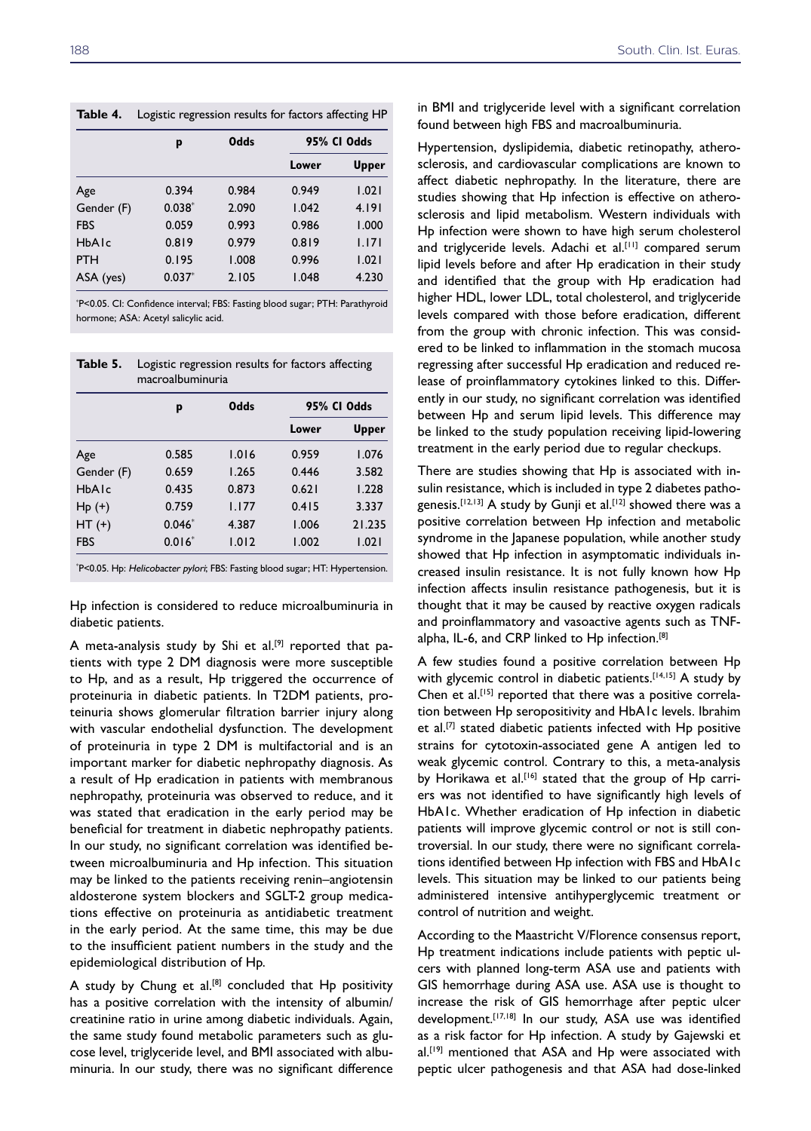|  | <b>Table 4.</b> Logistic regression results for factors affecting HP |  |  |  |
|--|----------------------------------------------------------------------|--|--|--|
|--|----------------------------------------------------------------------|--|--|--|

|            | p        | <b>Odds</b> | 95% CI Odds |              |
|------------|----------|-------------|-------------|--------------|
|            |          |             | Lower       | <b>Upper</b> |
| Age        | 0.394    | 0.984       | 0.949       | 1.021        |
| Gender (F) | $0.038*$ | 2.090       | 1.042       | 4.191        |
| <b>FBS</b> | 0.059    | 0.993       | 0.986       | 1.000        |
| HbAlc      | 0.819    | 0.979       | 0.819       | 1.171        |
| PTH        | 0.195    | 1.008       | 0.996       | 1.021        |
| ASA (yes)  | $0.037*$ | 2.105       | 1.048       | 4.230        |

\* P<0.05. CI: Confidence interval; FBS: Fasting blood sugar; PTH: Parathyroid hormone; ASA: Acetyl salicylic acid.

**Table 5.** Logistic regression results for factors affecting

| macroalbuminuria |          |             |                    |              |
|------------------|----------|-------------|--------------------|--------------|
|                  | p        | <b>Odds</b> | <b>95% CI Odds</b> |              |
|                  |          |             | Lower              | <b>Upper</b> |
| Age              | 0.585    | 1.016       | 0.959              | 1.076        |
| Gender (F)       | 0.659    | 1.265       | 0.446              | 3.582        |
| HhAlc            | 0.435    | 0.873       | 0.621              | 1.228        |
| $Hp (+)$         | 0.759    | <b>LI77</b> | 0.415              | 3.337        |
| $HT (+)$         | $0.046*$ | 4.387       | 1.006              | 21.235       |
| <b>FBS</b>       | $0.016*$ | 1.012       | 1.002              | 1.021        |

\* P<0.05. Hp: Helicobacter pylori; FBS: Fasting blood sugar; HT: Hypertension.

Hp infection is considered to reduce microalbuminuria in diabetic patients.

A meta-analysis study by Shi et al.<sup>[9]</sup> reported that patients with type 2 DM diagnosis were more susceptible to Hp, and as a result, Hp triggered the occurrence of proteinuria in diabetic patients. In T2DM patients, proteinuria shows glomerular filtration barrier injury along with vascular endothelial dysfunction. The development of proteinuria in type 2 DM is multifactorial and is an important marker for diabetic nephropathy diagnosis. As a result of Hp eradication in patients with membranous nephropathy, proteinuria was observed to reduce, and it was stated that eradication in the early period may be beneficial for treatment in diabetic nephropathy patients. In our study, no significant correlation was identified between microalbuminuria and Hp infection. This situation may be linked to the patients receiving renin–angiotensin aldosterone system blockers and SGLT-2 group medications effective on proteinuria as antidiabetic treatment in the early period. At the same time, this may be due to the insufficient patient numbers in the study and the epidemiological distribution of Hp.

A study by Chung et al.<sup>[8]</sup> concluded that Hp positivity has a positive correlation with the intensity of albumin/ creatinine ratio in urine among diabetic individuals. Again, the same study found metabolic parameters such as glucose level, triglyceride level, and BMI associated with albuminuria. In our study, there was no significant difference

in BMI and triglyceride level with a significant correlation found between high FBS and macroalbuminuria.

Hypertension, dyslipidemia, diabetic retinopathy, atherosclerosis, and cardiovascular complications are known to affect diabetic nephropathy. In the literature, there are studies showing that Hp infection is effective on atherosclerosis and lipid metabolism. Western individuals with Hp infection were shown to have high serum cholesterol and triglyceride levels. Adachi et al.<sup>[11]</sup> compared serum lipid levels before and after Hp eradication in their study and identified that the group with Hp eradication had higher HDL, lower LDL, total cholesterol, and triglyceride levels compared with those before eradication, different from the group with chronic infection. This was considered to be linked to inflammation in the stomach mucosa regressing after successful Hp eradication and reduced release of proinflammatory cytokines linked to this. Differently in our study, no significant correlation was identified between Hp and serum lipid levels. This difference may be linked to the study population receiving lipid-lowering treatment in the early period due to regular checkups.

There are studies showing that Hp is associated with insulin resistance, which is included in type 2 diabetes pathogenesis.<sup>[12,13]</sup> A study by Gunji et al.<sup>[12]</sup> showed there was a positive correlation between Hp infection and metabolic syndrome in the Japanese population, while another study showed that Hp infection in asymptomatic individuals increased insulin resistance. It is not fully known how Hp infection affects insulin resistance pathogenesis, but it is thought that it may be caused by reactive oxygen radicals and proinflammatory and vasoactive agents such as TNFalpha, IL-6, and CRP linked to Hp infection.<sup>[8]</sup>

A few studies found a positive correlation between Hp with glycemic control in diabetic patients.<sup>[14,15]</sup> A study by Chen et al.<sup>[15]</sup> reported that there was a positive correlation between Hp seropositivity and HbA1c levels. Ibrahim et al.<sup>[7]</sup> stated diabetic patients infected with Hp positive strains for cytotoxin-associated gene A antigen led to weak glycemic control. Contrary to this, a meta-analysis by Horikawa et al.<sup>[16]</sup> stated that the group of Hp carriers was not identified to have significantly high levels of HbA1c. Whether eradication of Hp infection in diabetic patients will improve glycemic control or not is still controversial. In our study, there were no significant correlations identified between Hp infection with FBS and HbA1c levels. This situation may be linked to our patients being administered intensive antihyperglycemic treatment or control of nutrition and weight.

According to the Maastricht V/Florence consensus report, Hp treatment indications include patients with peptic ulcers with planned long-term ASA use and patients with GIS hemorrhage during ASA use. ASA use is thought to increase the risk of GIS hemorrhage after peptic ulcer development.<sup>[17,18]</sup> In our study, ASA use was identified as a risk factor for Hp infection. A study by Gajewski et al.<sup>[19]</sup> mentioned that ASA and Hp were associated with peptic ulcer pathogenesis and that ASA had dose-linked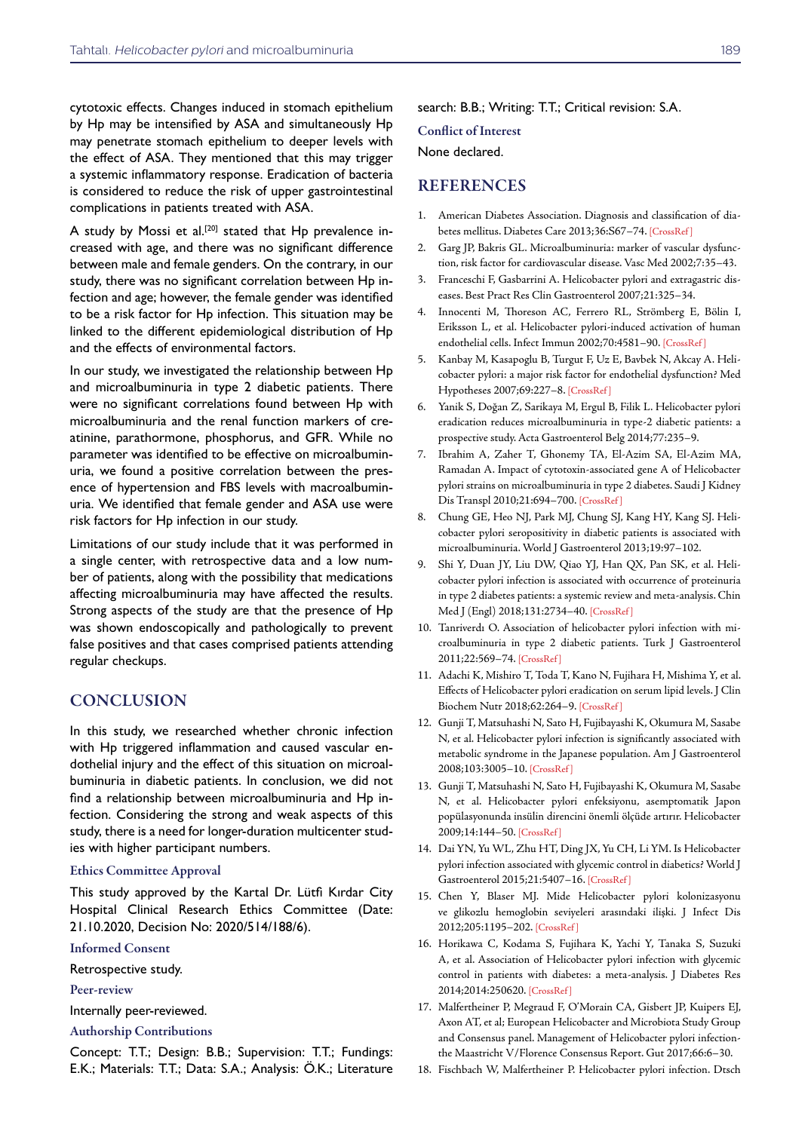cytotoxic effects. Changes induced in stomach epithelium by Hp may be intensified by ASA and simultaneously Hp may penetrate stomach epithelium to deeper levels with the effect of ASA. They mentioned that this may trigger a systemic inflammatory response. Eradication of bacteria is considered to reduce the risk of upper gastrointestinal complications in patients treated with ASA.

A study by Mossi et al.<sup>[20]</sup> stated that Hp prevalence increased with age, and there was no significant difference between male and female genders. On the contrary, in our study, there was no significant correlation between Hp infection and age; however, the female gender was identified to be a risk factor for Hp infection. This situation may be linked to the different epidemiological distribution of Hp and the effects of environmental factors.

In our study, we investigated the relationship between Hp and microalbuminuria in type 2 diabetic patients. There were no significant correlations found between Hp with microalbuminuria and the renal function markers of creatinine, parathormone, phosphorus, and GFR. While no parameter was identified to be effective on microalbuminuria, we found a positive correlation between the presence of hypertension and FBS levels with macroalbuminuria. We identified that female gender and ASA use were risk factors for Hp infection in our study.

Limitations of our study include that it was performed in a single center, with retrospective data and a low number of patients, along with the possibility that medications affecting microalbuminuria may have affected the results. Strong aspects of the study are that the presence of Hp was shown endoscopically and pathologically to prevent false positives and that cases comprised patients attending regular checkups.

## **CONCLUSION**

In this study, we researched whether chronic infection with Hp triggered inflammation and caused vascular endothelial injury and the effect of this situation on microalbuminuria in diabetic patients. In conclusion, we did not find a relationship between microalbuminuria and Hp infection. Considering the strong and weak aspects of this study, there is a need for longer-duration multicenter studies with higher participant numbers.

#### Ethics Committee Approval

This study approved by the Kartal Dr. Lütfi Kırdar City Hospital Clinical Research Ethics Committee (Date: 21.10.2020, Decision No: 2020/514/188/6).

#### Informed Consent

Retrospective study.

#### Peer-review

Internally peer-reviewed.

#### Authorship Contributions

Concept: T.T.; Design: B.B.; Supervision: T.T.; Fundings: E.K.; Materials: T.T.; Data: S.A.; Analysis: Ö.K.; Literature

### search: B.B.; Writing: T.T.; Critical revision: S.A.

#### Conflict of Interest

None declared.

## **REFERENCES**

- 1. American Diabetes Association. Diagnosis and classification of diabetes mellitus. Diabetes Care 2013;36:S67–74[. \[CrossRef \]](https://doi.org/10.2337/dc13-S067)
- 2. Garg JP, Bakris GL. Microalbuminuria: marker of vascular dysfunction, risk factor for cardiovascular disease. Vasc Med 2002;7:35–43.
- 3. Franceschi F, Gasbarrini A. Helicobacter pylori and extragastric diseases. Best Pract Res Clin Gastroenterol 2007;21:325–34.
- 4. Innocenti M, Thoreson AC, Ferrero RL, Strömberg E, Bölin I, Eriksson L, et al. Helicobacter pylori-induced activation of human endothelial cells. Infect Immun 2002;70:4581–90[. \[CrossRef \]](https://doi.org/10.1128/IAI.70.8.4581-4590.2002)
- 5. Kanbay M, Kasapoglu B, Turgut F, Uz E, Bavbek N, Akcay A. Helicobacter pylori: a major risk factor for endothelial dysfunction? Med Hypotheses 2007;69:227[–8. \[CrossRef \]](https://doi.org/10.1016/j.mehy.2006.12.001)
- 6. Yanik S, Doğan Z, Sarikaya M, Ergul B, Filik L. Helicobacter pylori eradication reduces microalbuminuria in type-2 diabetic patients: a prospective study. Acta Gastroenterol Belg 2014;77:235–9.
- 7. Ibrahim A, Zaher T, Ghonemy TA, El-Azim SA, El-Azim MA, Ramadan A. Impact of cytotoxin-associated gene A of Helicobacter pylori strains on microalbuminuria in type 2 diabetes. Saudi J Kidney Dis Transpl 2010;21:694–7[00. \[CrossRef \]](https://doi.org/10.4314/ajnt.v3i2.58892)
- 8. Chung GE, Heo NJ, Park MJ, Chung SJ, Kang HY, Kang SJ. Helicobacter pylori seropositivity in diabetic patients is associated with microalbuminuria. World J Gastroenterol 2013;19:97–102.
- 9. Shi Y, Duan JY, Liu DW, Qiao YJ, Han QX, Pan SK, et al. Helicobacter pylori infection is associated with occurrence of proteinuria in type 2 diabetes patients: a systemic review and meta-analysis. Chin Med J (Engl) 2018;131:2734–40[. \[CrossRef \]](https://doi.org/10.4103/0366-6999.245269)
- 10. Tanriverdı O. Association of helicobacter pylori infection with microalbuminuria in type 2 diabetic patients. Turk J Gastroenterol 2011;22:569–7[4. \[CrossRef \]](https://doi.org/10.4318/tjg.2011.0252)
- 11. Adachi K, Mishiro T, Toda T, Kano N, Fujihara H, Mishima Y, et al. Effects of Helicobacter pylori eradication on serum lipid levels. J Clin Biochem Nutr 2018;62:264–9[. \[CrossRef](https://doi.org/10.3164/jcbn.17-88) ]
- 12. Gunji T, Matsuhashi N, Sato H, Fujibayashi K, Okumura M, Sasabe N, et al. Helicobacter pylori infection is significantly associated with metabolic syndrome in the Japanese population. Am J Gastroenterol 2008;103:3005–1[0. \[CrossRef \]](https://doi.org/10.1111/j.1572-0241.2008.02151.x)
- 13. Gunji T, Matsuhashi N, Sato H, Fujibayashi K, Okumura M, Sasabe N, et al. Helicobacter pylori enfeksiyonu, asemptomatik Japon popülasyonunda insülin direncini önemli ölçüde artırır. Helicobacter 2009;14:144–5[0. \[CrossRef \]](https://doi.org/10.1111/j.1523-5378.2009.00705.x)
- 14. Dai YN, Yu WL, Zhu HT, Ding JX, Yu CH, Li YM. Is Helicobacter pylori infection associated with glycemic control in diabetics? World J Gastroenterol 2015;21:5407–16[. \[CrossRef \]](https://doi.org/10.3748/wjg.v21.i17.5407)
- 15. Chen Y, Blaser MJ. Mide Helicobacter pylori kolonizasyonu ve glikozlu hemoglobin seviyeleri arasındaki ilişki. J Infect Dis 2012;205:1195–20[2. \[CrossRef \]](https://doi.org/10.1093/infdis/jis106)
- 16. Horikawa C, Kodama S, Fujihara K, Yachi Y, Tanaka S, Suzuki A, et al. Association of Helicobacter pylori infection with glycemic control in patients with diabetes: a meta-analysis. J Diabetes Res 2014;2014:250620[. \[CrossRef \]](https://doi.org/10.1155/2014/250620)
- 17. Malfertheiner P, Megraud F, O'Morain CA, Gisbert JP, Kuipers EJ, Axon AT, et al; European Helicobacter and Microbiota Study Group and Consensus panel. Management of Helicobacter pylori infectionthe Maastricht V/Florence Consensus Report. Gut 2017;66:6–30.
- 18. Fischbach W, Malfertheiner P. Helicobacter pylori infection. Dtsch